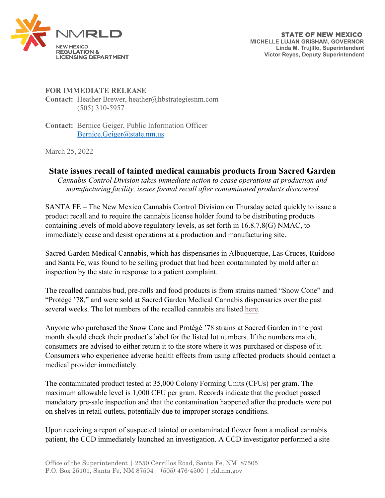

## **FOR IMMEDIATE RELEASE**

Contact: Heather Brewer, heather@hbstrategiesnm.com (505) 310-5957

**Contact:** Bernice Geiger, Public Information Officer [Bernice.Geiger@state.nm.us](mailto:Bernice.Geiger@state.nm.us)

March 25, 2022

## **State issues recall of tainted medical cannabis products from Sacred Garden**

*Cannabis Control Division takes immediate action to cease operations at production and manufacturing facility, issues formal recall after contaminated products discovered*

SANTA FE – The New Mexico Cannabis Control Division on Thursday acted quickly to issue a product recall and to require the cannabis license holder found to be distributing products containing levels of mold above regulatory levels, as set forth in 16.8.7.8(G) NMAC, to immediately cease and desist operations at a production and manufacturing site.

Sacred Garden Medical Cannabis, which has dispensaries in Albuquerque, Las Cruces, Ruidoso and Santa Fe, was found to be selling product that had been contaminated by mold after an inspection by the state in response to a patient complaint.

The recalled cannabis bud, pre-rolls and food products is from strains named "Snow Cone" and "Protégé '78," and were sold at Sacred Garden Medical Cannabis dispensaries over the past several weeks. The lot numbers of the recalled cannabis are listed [here.](https://ccd.rld.state.nm.us/recall-information/)

Anyone who purchased the Snow Cone and Protégé '78 strains at Sacred Garden in the past month should check their product's label for the listed lot numbers. If the numbers match, consumers are advised to either return it to the store where it was purchased or dispose of it. Consumers who experience adverse health effects from using affected products should contact a medical provider immediately.

The contaminated product tested at 35,000 Colony Forming Units (CFUs) per gram. The maximum allowable level is 1,000 CFU per gram. Records indicate that the product passed mandatory pre-sale inspection and that the contamination happened after the products were put on shelves in retail outlets, potentially due to improper storage conditions.

Upon receiving a report of suspected tainted or contaminated flower from a medical cannabis patient, the CCD immediately launched an investigation. A CCD investigator performed a site